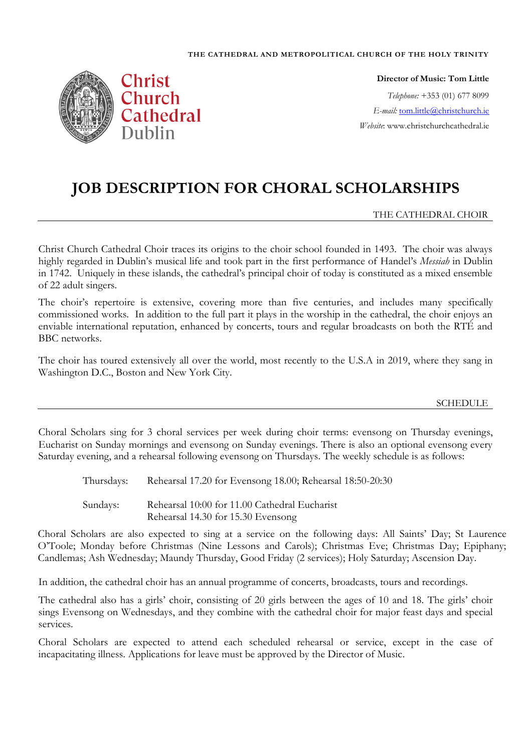#### **THE CATHEDRAL AND METROPOLITICAL CHURCH OF THE HOLY TRINITY**



**Director of Music: Tom Little** *Telephone:* +353 (01) 677 8099 *E-mail:* [tom.little@christchurch.ie](mailto:tom.little@christchurch.ie) *Website*: www.christchurchcathedral.ie

# **JOB DESCRIPTION FOR CHORAL SCHOLARSHIPS**

THE CATHEDRAL CHOIR

Christ Church Cathedral Choir traces its origins to the choir school founded in 1493. The choir was always highly regarded in Dublin's musical life and took part in the first performance of Handel's *Messiah* in Dublin in 1742. Uniquely in these islands, the cathedral's principal choir of today is constituted as a mixed ensemble of 22 adult singers.

The choir's repertoire is extensive, covering more than five centuries, and includes many specifically commissioned works. In addition to the full part it plays in the worship in the cathedral, the choir enjoys an enviable international reputation, enhanced by concerts, tours and regular broadcasts on both the RTÉ and BBC networks.

The choir has toured extensively all over the world, most recently to the U.S.A in 2019, where they sang in Washington D.C., Boston and New York City.

### SCHEDULE

Choral Scholars sing for 3 choral services per week during choir terms: evensong on Thursday evenings, Eucharist on Sunday mornings and evensong on Sunday evenings. There is also an optional evensong every Saturday evening, and a rehearsal following evensong on Thursdays. The weekly schedule is as follows:

Thursdays: Rehearsal 17.20 for Evensong 18.00; Rehearsal 18:50-20:30

Sundays: Rehearsal 10:00 for 11.00 Cathedral Eucharist Rehearsal 14.30 for 15.30 Evensong

Choral Scholars are also expected to sing at a service on the following days: All Saints' Day; St Laurence O'Toole; Monday before Christmas (Nine Lessons and Carols); Christmas Eve; Christmas Day; Epiphany; Candlemas; Ash Wednesday; Maundy Thursday, Good Friday (2 services); Holy Saturday; Ascension Day.

In addition, the cathedral choir has an annual programme of concerts, broadcasts, tours and recordings.

The cathedral also has a girls' choir, consisting of 20 girls between the ages of 10 and 18. The girls' choir sings Evensong on Wednesdays, and they combine with the cathedral choir for major feast days and special services.

Choral Scholars are expected to attend each scheduled rehearsal or service, except in the case of incapacitating illness. Applications for leave must be approved by the Director of Music.